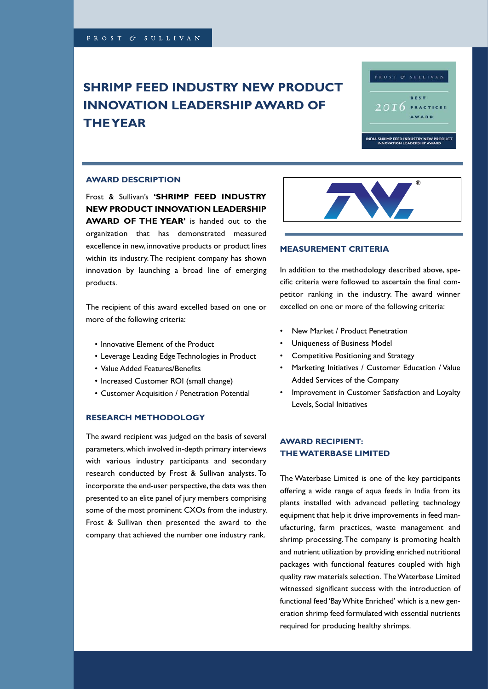# **SHRIMP FEED INDUSTRY NEW PRODUCT INNOVATION LEADERSHIP AWARD OF OF THE YEAR THE YEAR**



#### **AWARD DESCRIPTION**

 $\mathbf{F} = \mathbf{S} \cdot \mathbf{S} \mathbf{w} \cdot \mathbf{S} \cdot \mathbf{S} \mathbf{S} \mathbf{S} \mathbf{S} \mathbf{S} \mathbf{S} \mathbf{S} \mathbf{S} \mathbf{S} \mathbf{S} \mathbf{S} \mathbf{S} \mathbf{S} \mathbf{S} \mathbf{S} \mathbf{S} \mathbf{S} \mathbf{S} \mathbf{S} \mathbf{S} \mathbf{S} \mathbf{S} \mathbf{S} \mathbf{S} \mathbf{S} \mathbf{S} \mathbf{S} \mathbf{S} \mathbf{S} \mathbf{S} \mathbf$ Frost & Sullivan's **'SHRIMP FEED INDUSTRY NEW PRODUCT INNOVATION LEADERSHIP** AWARD OF THE YEAR' is handed out to the organization that has demonstrated measured excellence in new, innovative products or product lines within its industry. The recipient company has shown satisfaction and market perception and market perception. For this award there is a ward there is a set of  $\alpha$ innovation by launching a broad line of emerging and only a few products. The services of  $\mathcal{A}$  is all the services of  $\mathcal{A}$  along  $\mathcal{A}$  along  $\mathcal{A}$  and  $\mathcal{A}$  along  $\mathcal{A}$  and  $\mathcal{A}$  are services. products.

The recipient of this award excelled based on one or more of the following criteria:

- Innovative Element of the Product
- $s = \frac{1}{2}$  intertative intertaction intertaction in India is admirable enough  $\frac{1}{2}$ • Leverage Leading Edge Technologies in Product
	- Value Added Features/Benefits
- Increased Customer ROI (small change)
- Customer Acquisition / Penetration Potential

### **RESEARCH METHODOLOGY**

The award recipient was judged on the basis of several parameters, which involved in-depth primary interviews .<br>with various industry participants and secondary  $\frac{1}{2}$  in the automorphism the automorphism the automorphism the automorphism the automorphism to a substitution of  $\frac{1}{2}$ research conducted by Frost & Sullivan analysts. To incorporate the end-user perspective, the data was then some of the most prominent CXOs from the industry. Frost & Sullivan then presented the award to the company that achieved the number one industry rank. competitor ranking in the industry. The industry  $\mathcal{L}$ presented to an elite panel of jury members comprising



#### **MEASUREMENT CRITERIA**

In addition to the methodology described above, specific criteria were followed to ascertain the final competitor ranking in the industry. The award winner excelled on one or more of the following criteria: experience to both national clients of  $\alpha$ 

- New Market / Product Penetration
- Uniqueness of Business Model
- Competitive Positioning and Strategy
- Marketing Initiatives / Customer Education / Value Added Services of the Company
- Improvement in Customer Satisfaction and Loyalty Levels, Social Initiatives

#### data needs. Its proven customer service has continued **AWARD RECIPIENT:**   $\overline{a}$  and  $\overline{b}$  in  $\overline{c}$  in  $\overline{c}$  in  $\overline{c}$  is the same all  $\overline{c}$ **THE WATERBASE LIMITED**

The Waterbase Limited is one of the key participants offering a wide range of aqua feeds in India from its plants installed with advanced pelleting technology equipment that help it drive improvements in feed manufacturing, farm practices, waste management and shrimp processing. The company is promoting health to have the internal of the internal of the internal of their business needs.<br>Their business needs needs needs needs. The internal of the internal of the internal of the internal of the in and nutrient utilization by providing enriched nutritional<br>. packages with functional features coupled with high quality raw materials selection. The Waterbase Limited witnessed significant success with the introduction of functional feed 'Bay White Enriched' which is a new generation shrimp feed formulated with essential nutrients required for producing healthy shrimps.